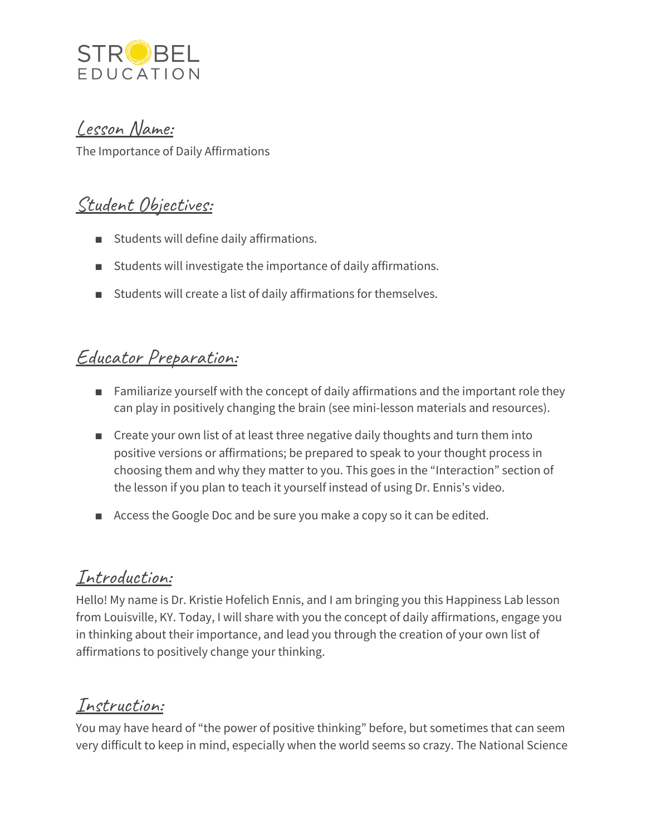

#### Lesson Name:

The Importance of Daily Affirmations

# Student Objectives:

- Students will define daily affirmations.
- Students will investigate the importance of daily affirmations.
- Students will create a list of daily affirmations for themselves.

## Educator Preparation:

- Familiarize yourself with the concept of daily affirmations and the important role they can play in positively changing the brain (see mini-lesson materials and resources).
- Create your own list of at least three negative daily thoughts and turn them into positive versions or affirmations; be prepared to speak to your thought process in choosing them and why they matter to you. This goes in the "Interaction" section of the lesson if you plan to teach it yourself instead of using Dr. Ennis's video.
- Access the Google Doc and be sure you make a copy so it can be edited.

## Introduction:

Hello! My name is Dr. Kristie Hofelich Ennis, and I am bringing you this Happiness Lab lesson from Louisville, KY. Today, I will share with you the concept of daily affirmations, engage you in thinking about their importance, and lead you through the creation of your own list of affirmations to positively change your thinking.

### Instruction:

You may have heard of "the power of positive thinking" before, but sometimes that can seem very difficult to keep in mind, especially when the world seems so crazy. The National Science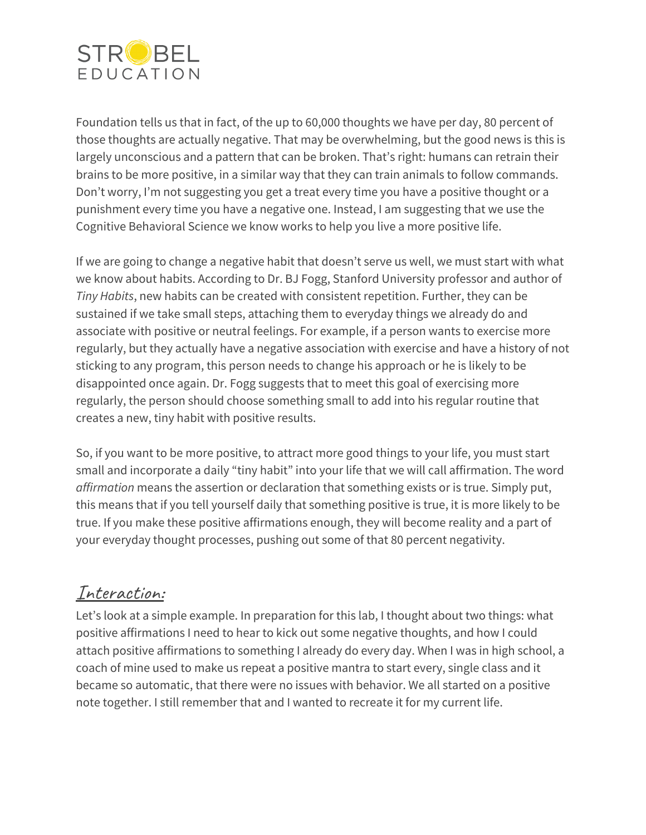

Foundation tells us that in fact, of the up to 60,000 thoughts we have per day, 80 percent of those thoughts are actually negative. That may be overwhelming, but the good news is this is largely unconscious and a pattern that can be broken. That's right: humans can retrain their brains to be more positive, in a similar way that they can train animals to follow commands. Don't worry, I'm not suggesting you get a treat every time you have a positive thought or a punishment every time you have a negative one. Instead, I am suggesting that we use the Cognitive Behavioral Science we know works to help you live a more positive life.

If we are going to change a negative habit that doesn't serve us well, we must start with what we know about habits. According to Dr. BJ Fogg, Stanford University professor and author of *Tiny Habits*, new habits can be created with consistent repetition. Further, they can be sustained if we take small steps, attaching them to everyday things we already do and associate with positive or neutral feelings. For example, if a person wants to exercise more regularly, but they actually have a negative association with exercise and have a history of not sticking to any program, this person needs to change his approach or he is likely to be disappointed once again. Dr. Fogg suggests that to meet this goal of exercising more regularly, the person should choose something small to add into his regular routine that creates a new, tiny habit with positive results.

So, if you want to be more positive, to attract more good things to your life, you must start small and incorporate a daily "tiny habit" into your life that we will call affirmation. The word *affirmation* means the assertion or declaration that something exists or is true. Simply put, this means that if you tell yourself daily that something positive is true, it is more likely to be true. If you make these positive affirmations enough, they will become reality and a part of your everyday thought processes, pushing out some of that 80 percent negativity.

### Interaction:

Let's look at a simple example. In preparation for this lab, I thought about two things: what positive affirmations I need to hear to kick out some negative thoughts, and how I could attach positive affirmations to something I already do every day. When I was in high school, a coach of mine used to make us repeat a positive mantra to start every, single class and it became so automatic, that there were no issues with behavior. We all started on a positive note together. I still remember that and I wanted to recreate it for my current life.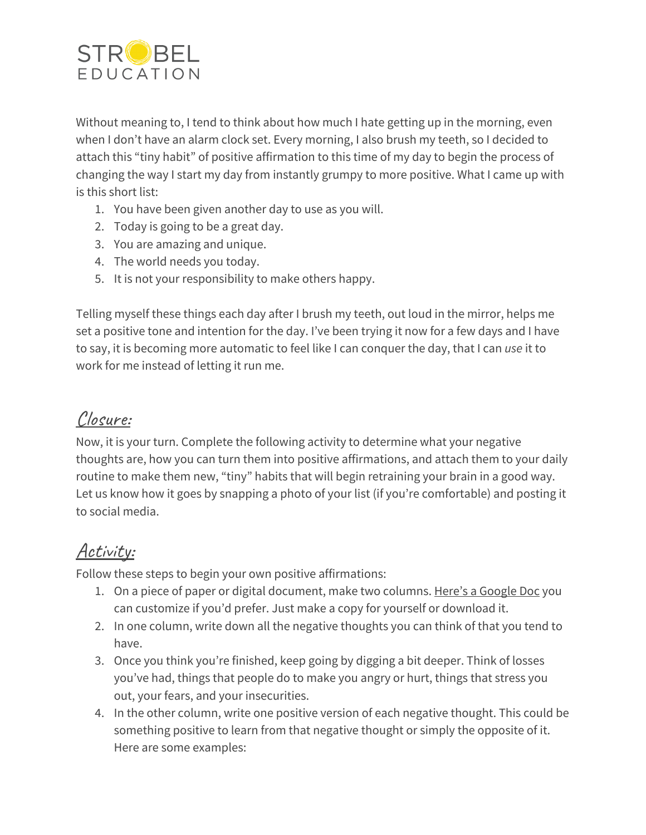

Without meaning to, I tend to think about how much I hate getting up in the morning, even when I don't have an alarm clock set. Every morning, I also brush my teeth, so I decided to attach this "tiny habit" of positive affirmation to this time of my day to begin the process of changing the way I start my day from instantly grumpy to more positive. What I came up with is this short list:

- 1. You have been given another day to use as you will.
- 2. Today is going to be a great day.
- 3. You are amazing and unique.
- 4. The world needs you today.
- 5. It is not your responsibility to make others happy.

Telling myself these things each day after I brush my teeth, out loud in the mirror, helps me set a positive tone and intention for the day. I've been trying it now for a few days and I have to say, it is becoming more automatic to feel like I can conquer the day, that I can *use* it to work for me instead of letting it run me.

### Closure:

Now, it is your turn. Complete the following activity to determine what your negative thoughts are, how you can turn them into positive affirmations, and attach them to your daily routine to make them new, "tiny" habits that will begin retraining your brain in a good way. Let us know how it goes by snapping a photo of your list (if you're comfortable) and posting it to social media.

# Activity:

Follow these steps to begin your own positive affirmations:

- 1. On a piece of paper or digital document, make two columns. Here's a [Google](https://docs.google.com/document/d/1a4s1oO-naKsl_TTMhPqWYVkw1B6_Kwyo6ji4_hnd4XU/edit?usp=sharing) Doc you can customize if you'd prefer. Just make a copy for yourself or download it.
- 2. In one column, write down all the negative thoughts you can think of that you tend to have.
- 3. Once you think you're finished, keep going by digging a bit deeper. Think of losses you've had, things that people do to make you angry or hurt, things that stress you out, your fears, and your insecurities.
- 4. In the other column, write one positive version of each negative thought. This could be something positive to learn from that negative thought or simply the opposite of it. Here are some examples: